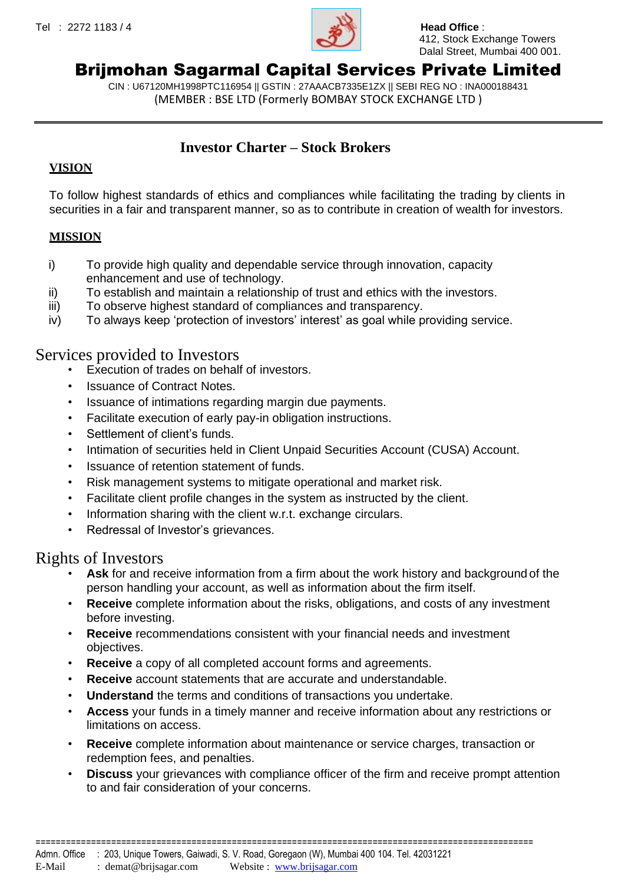

 412, Stock Exchange Towers Dalal Street, Mumbai 400 001.

# Brijmohan Sagarmal Capital Services Private Limited

CIN : U67120MH1998PTC116954 || GSTIN : 27AAACB7335E1ZX || SEBI REG NO : INA000188431 (MEMBER : BSE LTD (Formerly BOMBAY STOCK EXCHANGE LTD )

### **Investor Charter – Stock Brokers**

#### **VISION**

To follow highest standards of ethics and compliances while facilitating the trading by clients in securities in a fair and transparent manner, so as to contribute in creation of wealth for investors.

#### **MISSION**

- i) To provide high quality and dependable service through innovation, capacity enhancement and use of technology.
- ii) To establish and maintain a relationship of trust and ethics with the investors.
- iii) To observe highest standard of compliances and transparency.
- iv) To always keep 'protection of investors' interest' as goal while providing service.

### Services provided to Investors

- Execution of trades on behalf of investors.
- Issuance of Contract Notes.
- Issuance of intimations regarding margin due payments.
- Facilitate execution of early pay-in obligation instructions.
- Settlement of client's funds.
- Intimation of securities held in Client Unpaid Securities Account (CUSA) Account.
- Issuance of retention statement of funds.
- Risk management systems to mitigate operational and market risk.
- Facilitate client profile changes in the system as instructed by the client.
- Information sharing with the client w.r.t. exchange circulars.
- Redressal of Investor's grievances.

## Rights of Investors

- **Ask** for and receive information from a firm about the work history and background of the person handling your account, as well as information about the firm itself.
- **Receive** complete information about the risks, obligations, and costs of any investment before investing.
- **Receive** recommendations consistent with your financial needs and investment objectives.
- **Receive** a copy of all completed account forms and agreements.
- **Receive** account statements that are accurate and understandable.
- **Understand** the terms and conditions of transactions you undertake.
- **Access** your funds in a timely manner and receive information about any restrictions or limitations on access.
- **Receive** complete information about maintenance or service charges, transaction or redemption fees, and penalties.
- **Discuss** your grievances with compliance officer of the firm and receive prompt attention to and fair consideration of your concerns.

===================================================================================================